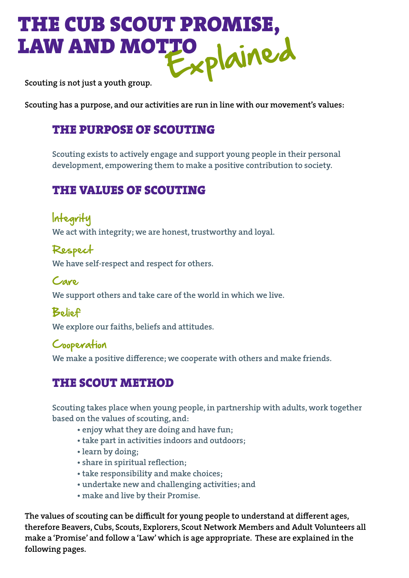# THE CUB SCOUT PROMISE, LAW AND MOTTO Scouting is not just a youth group.

Scouting has a purpose, and our activities are run in line with our movement's values:

### THE PURPOSE OF SCOUTING

Scouting exists to actively engage and support young people in their personal development, empowering them to make a positive contribution to society.

# THE VALUES OF SCOUTING

Integrity We act with integrity; we are honest, trustworthy and loyal.

Respect We have self-respect and respect for others.

Care We support others and take care of the world in which we live.

Belief

We explore our faiths, beliefs and attitudes.

#### Cooperation

We make a positive difference; we cooperate with others and make friends.

# THE SCOUT METHOD

Scouting takes place when young people, in partnership with adults, work together based on the values of scouting, and:

- enjoy what they are doing and have fun;
- take part in activities indoors and outdoors;
- learn by doing;
- share in spiritual reflection;
- take responsibility and make choices;
- undertake new and challenging activities; and
- make and live by their Promise.

The values of scouting can be difficult for young people to understand at different ages, therefore Beavers, Cubs, Scouts, Explorers, Scout Network Members and Adult Volunteers all make a 'Promise' and follow a 'Law' which is age appropriate. These are explained in the following pages.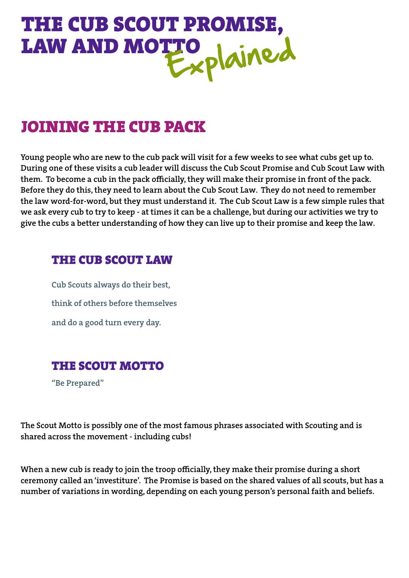

# JOINING THE CUB PACK

Young people who are new to the cub pack will visit for a few weeks to see what cubs get up to. During one of these visits a cub leader will discuss the Cub Scout Promise and Cub Scout Law with them. To become a cub in the pack officially, they will make their promise in front of the pack. Before they do this, they need to learn about the Cub Scout Law. They do not need to remember the law word-for-word, but they must understand it. The Cub Scout Law is a few simple rules that we ask every cub to try to keep - at times it can be a challenge, but during our activities we try to give the cubs a better understanding of how they can live up to their promise and keep the law.

#### THE CUB SCOUT LAW

Cub Scouts always do their best, think of others before themselves and do a good turn every day.

# THE SCOUT MOTTO

"Be Prepared"

The Scout Motto is possibly one of the most famous phrases associated with Scouting and is shared across the movement - including cubs!

When a new cub is ready to join the troop officially, they make their promise during a short ceremony called an 'investiture'. The Promise is based on the shared values of all scouts, but has a number of variations in wording, depending on each young person's personal faith and beliefs.